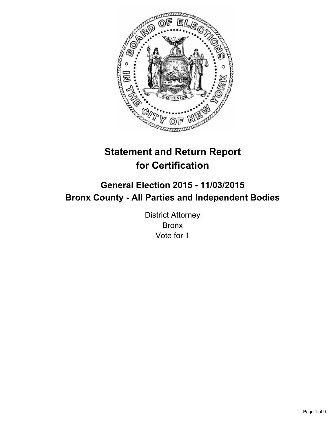

# **Statement and Return Report for Certification**

# **General Election 2015 - 11/03/2015 Bronx County - All Parties and Independent Bodies**

District Attorney Bronx Vote for 1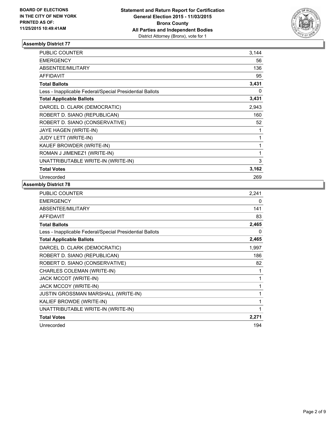

| <b>PUBLIC COUNTER</b>                                    | 3,144 |
|----------------------------------------------------------|-------|
| <b>EMERGENCY</b>                                         | 56    |
| ABSENTEE/MILITARY                                        | 136   |
| <b>AFFIDAVIT</b>                                         | 95    |
| <b>Total Ballots</b>                                     | 3,431 |
| Less - Inapplicable Federal/Special Presidential Ballots | 0     |
| <b>Total Applicable Ballots</b>                          | 3,431 |
| DARCEL D. CLARK (DEMOCRATIC)                             | 2,943 |
| ROBERT D. SIANO (REPUBLICAN)                             | 160   |
| ROBERT D. SIANO (CONSERVATIVE)                           | 52    |
| JAYE HAGEN (WRITE-IN)                                    | 1     |
| <b>JUDY LETT (WRITE-IN)</b>                              | 1     |
| KAUEF BROWDER (WRITE-IN)                                 | 1     |
| ROMAN J JIMENEZ1 (WRITE-IN)                              | 1     |
| UNATTRIBUTABLE WRITE-IN (WRITE-IN)                       | 3     |
| <b>Total Votes</b>                                       | 3,162 |
| Unrecorded                                               | 269   |

| PUBLIC COUNTER                                           | 2,241 |
|----------------------------------------------------------|-------|
| <b>EMERGENCY</b>                                         | 0     |
| <b>ABSENTEE/MILITARY</b>                                 | 141   |
| <b>AFFIDAVIT</b>                                         | 83    |
| <b>Total Ballots</b>                                     | 2,465 |
| Less - Inapplicable Federal/Special Presidential Ballots | 0     |
| <b>Total Applicable Ballots</b>                          | 2,465 |
| DARCEL D. CLARK (DEMOCRATIC)                             | 1,997 |
| ROBERT D. SIANO (REPUBLICAN)                             | 186   |
| ROBERT D. SIANO (CONSERVATIVE)                           | 82    |
| CHARLES COLEMAN (WRITE-IN)                               | 1     |
| <b>JACK MCCOT (WRITE-IN)</b>                             | 1     |
| JACK MCCOY (WRITE-IN)                                    | 1     |
| <b>JUSTIN GROSSMAN MARSHALL (WRITE-IN)</b>               | 1     |
| KALIEF BROWDE (WRITE-IN)                                 | 1     |
| UNATTRIBUTABLE WRITE-IN (WRITE-IN)                       | 1     |
| <b>Total Votes</b>                                       | 2,271 |
| Unrecorded                                               | 194   |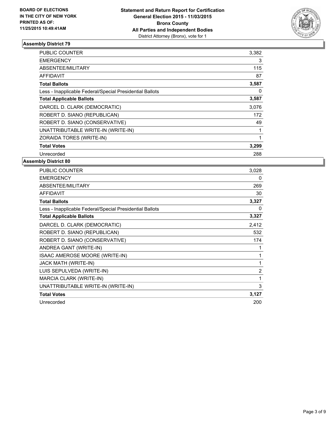

| <b>PUBLIC COUNTER</b>                                    | 3,382 |
|----------------------------------------------------------|-------|
| <b>EMERGENCY</b>                                         | 3     |
| ABSENTEE/MILITARY                                        | 115   |
| <b>AFFIDAVIT</b>                                         | 87    |
| <b>Total Ballots</b>                                     | 3,587 |
| Less - Inapplicable Federal/Special Presidential Ballots | 0     |
| <b>Total Applicable Ballots</b>                          | 3,587 |
| DARCEL D. CLARK (DEMOCRATIC)                             | 3,076 |
| ROBERT D. SIANO (REPUBLICAN)                             | 172   |
| ROBERT D. SIANO (CONSERVATIVE)                           | 49    |
| UNATTRIBUTABLE WRITE-IN (WRITE-IN)                       | 1     |
| ZORAIDA TORES (WRITE-IN)                                 | 1     |
| <b>Total Votes</b>                                       | 3,299 |
| Unrecorded                                               | 288   |

| <b>PUBLIC COUNTER</b>                                    | 3,028          |
|----------------------------------------------------------|----------------|
| <b>EMERGENCY</b>                                         | 0              |
| <b>ABSENTEE/MILITARY</b>                                 | 269            |
| <b>AFFIDAVIT</b>                                         | 30             |
| <b>Total Ballots</b>                                     | 3,327          |
| Less - Inapplicable Federal/Special Presidential Ballots | 0              |
| <b>Total Applicable Ballots</b>                          | 3,327          |
| DARCEL D. CLARK (DEMOCRATIC)                             | 2,412          |
| ROBERT D. SIANO (REPUBLICAN)                             | 532            |
| ROBERT D. SIANO (CONSERVATIVE)                           | 174            |
| ANDREA GANT (WRITE-IN)                                   | 1              |
| ISAAC AMEROSE MOORE (WRITE-IN)                           | 1              |
| JACK MATH (WRITE-IN)                                     | 1              |
| LUIS SEPULVEDA (WRITE-IN)                                | $\overline{2}$ |
| MARCIA CLARK (WRITE-IN)                                  | 1              |
| UNATTRIBUTABLE WRITE-IN (WRITE-IN)                       | 3              |
| <b>Total Votes</b>                                       | 3,127          |
| Unrecorded                                               | 200            |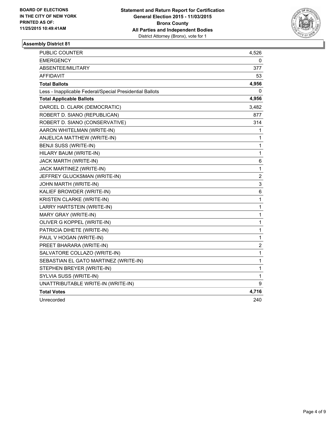

| PUBLIC COUNTER                                           | 4,526            |
|----------------------------------------------------------|------------------|
| EMERGENCY                                                | 0                |
| ABSENTEE/MILITARY                                        | 377              |
| <b>AFFIDAVIT</b>                                         | 53               |
| <b>Total Ballots</b>                                     | 4,956            |
| Less - Inapplicable Federal/Special Presidential Ballots | 0                |
| <b>Total Applicable Ballots</b>                          | 4,956            |
| DARCEL D. CLARK (DEMOCRATIC)                             | 3,482            |
| ROBERT D. SIANO (REPUBLICAN)                             | 877              |
| ROBERT D. SIANO (CONSERVATIVE)                           | 314              |
| AARON WHITELMAN (WRITE-IN)                               | 1                |
| ANJELICA MATTHEW (WRITE-IN)                              | 1                |
| BENJI SUSS (WRITE-IN)                                    | 1                |
| HILARY BAUM (WRITE-IN)                                   | $\mathbf{1}$     |
| JACK MARTH (WRITE-IN)                                    | 6                |
| JACK MARTINEZ (WRITE-IN)                                 | $\mathbf{1}$     |
| JEFFREY GLUCKSMAN (WRITE-IN)                             | $\boldsymbol{2}$ |
| JOHN MARTH (WRITE-IN)                                    | 3                |
| KALIEF BROWDER (WRITE-IN)                                | 6                |
| <b>KRISTEN CLARKE (WRITE-IN)</b>                         | $\mathbf{1}$     |
| LARRY HARTSTEIN (WRITE-IN)                               | $\mathbf{1}$     |
| MARY GRAY (WRITE-IN)                                     | 1                |
| OLIVER G KOPPEL (WRITE-IN)                               | 1                |
| PATRICIA DIHETE (WRITE-IN)                               | $\mathbf 1$      |
| PAUL V HOGAN (WRITE-IN)                                  | 1                |
| PREET BHARARA (WRITE-IN)                                 | 2                |
| SALVATORE COLLAZO (WRITE-IN)                             | $\mathbf{1}$     |
| SEBASTIAN EL GATO MARTINEZ (WRITE-IN)                    | $\mathbf 1$      |
| STEPHEN BREYER (WRITE-IN)                                | 1                |
| SYLVIA SUSS (WRITE-IN)                                   | 1                |
| UNATTRIBUTABLE WRITE-IN (WRITE-IN)                       | 9                |
| Total Votes                                              | 4,716            |
| Unrecorded                                               | 240              |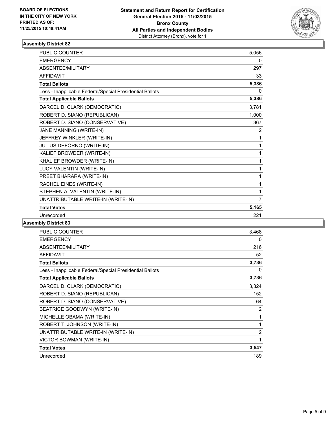

| PUBLIC COUNTER                                           | 5,056          |
|----------------------------------------------------------|----------------|
| <b>EMERGENCY</b>                                         | 0              |
| <b>ABSENTEE/MILITARY</b>                                 | 297            |
| <b>AFFIDAVIT</b>                                         | 33             |
| <b>Total Ballots</b>                                     | 5,386          |
| Less - Inapplicable Federal/Special Presidential Ballots | 0              |
| <b>Total Applicable Ballots</b>                          | 5,386          |
| DARCEL D. CLARK (DEMOCRATIC)                             | 3,781          |
| ROBERT D. SIANO (REPUBLICAN)                             | 1,000          |
| ROBERT D. SIANO (CONSERVATIVE)                           | 367            |
| JANE MANNING (WRITE-IN)                                  | $\overline{2}$ |
| JEFFREY WINKLER (WRITE-IN)                               | 1              |
| JULIUS DEFORNO (WRITE-IN)                                | 1              |
| KALIEF BROWDER (WRITE-IN)                                | 1              |
| KHALIEF BROWDER (WRITE-IN)                               | 1              |
| LUCY VALENTIN (WRITE-IN)                                 | 1              |
| PREET BHARARA (WRITE-IN)                                 | 1              |
| RACHEL EINES (WRITE-IN)                                  | 1              |
| STEPHEN A. VALENTIN (WRITE-IN)                           | 1              |
| UNATTRIBUTABLE WRITE-IN (WRITE-IN)                       | 7              |
| <b>Total Votes</b>                                       | 5,165          |
| Unrecorded                                               | 221            |

| <b>PUBLIC COUNTER</b>                                    | 3,468 |
|----------------------------------------------------------|-------|
| <b>EMERGENCY</b>                                         | 0     |
| ABSENTEE/MILITARY                                        | 216   |
| <b>AFFIDAVIT</b>                                         | 52    |
| <b>Total Ballots</b>                                     | 3,736 |
| Less - Inapplicable Federal/Special Presidential Ballots | 0     |
| <b>Total Applicable Ballots</b>                          | 3,736 |
| DARCEL D. CLARK (DEMOCRATIC)                             | 3,324 |
| ROBERT D. SIANO (REPUBLICAN)                             | 152   |
| ROBERT D. SIANO (CONSERVATIVE)                           | 64    |
| BEATRICE GOODWYN (WRITE-IN)                              | 2     |
| MICHELLE OBAMA (WRITE-IN)                                | 1     |
| ROBERT T. JOHNSON (WRITE-IN)                             | 1     |
| UNATTRIBUTABLE WRITE-IN (WRITE-IN)                       | 2     |
| VICTOR BOWMAN (WRITE-IN)                                 | 1     |
| <b>Total Votes</b>                                       | 3,547 |
| Unrecorded                                               | 189   |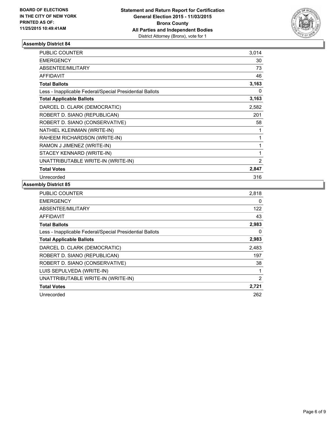

| <b>PUBLIC COUNTER</b>                                    | 3,014 |
|----------------------------------------------------------|-------|
| <b>EMERGENCY</b>                                         | 30    |
| ABSENTEE/MILITARY                                        | 73    |
| <b>AFFIDAVIT</b>                                         | 46    |
| <b>Total Ballots</b>                                     | 3,163 |
| Less - Inapplicable Federal/Special Presidential Ballots | 0     |
| <b>Total Applicable Ballots</b>                          | 3,163 |
| DARCEL D. CLARK (DEMOCRATIC)                             | 2,582 |
| ROBERT D. SIANO (REPUBLICAN)                             | 201   |
| ROBERT D. SIANO (CONSERVATIVE)                           | 58    |
| NATHIEL KLEINMAN (WRITE-IN)                              | 1     |
| RAHEEM RICHARDSON (WRITE-IN)                             | 1     |
| RAMON J JIMENEZ (WRITE-IN)                               | 1     |
| STACEY KENNARD (WRITE-IN)                                | 1     |
| UNATTRIBUTABLE WRITE-IN (WRITE-IN)                       | 2     |
| <b>Total Votes</b>                                       | 2,847 |
| Unrecorded                                               | 316   |

| <b>PUBLIC COUNTER</b>                                    | 2,818          |
|----------------------------------------------------------|----------------|
| <b>EMERGENCY</b>                                         | 0              |
| ABSENTEE/MILITARY                                        | 122            |
| <b>AFFIDAVIT</b>                                         | 43             |
| <b>Total Ballots</b>                                     | 2,983          |
| Less - Inapplicable Federal/Special Presidential Ballots | 0              |
| <b>Total Applicable Ballots</b>                          | 2,983          |
| DARCEL D. CLARK (DEMOCRATIC)                             | 2,483          |
| ROBERT D. SIANO (REPUBLICAN)                             | 197            |
| ROBERT D. SIANO (CONSERVATIVE)                           | 38             |
| LUIS SEPULVEDA (WRITE-IN)                                | 1              |
| UNATTRIBUTABLE WRITE-IN (WRITE-IN)                       | $\overline{2}$ |
| <b>Total Votes</b>                                       | 2,721          |
| Unrecorded                                               | 262            |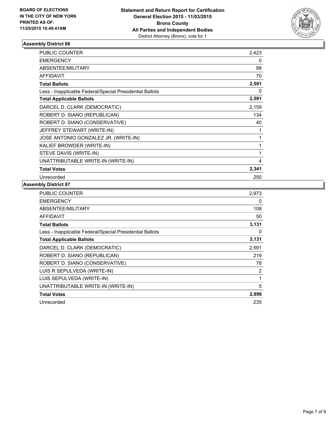

| <b>PUBLIC COUNTER</b>                                    | 2,423 |
|----------------------------------------------------------|-------|
| <b>EMERGENCY</b>                                         | 0     |
| <b>ABSENTEE/MILITARY</b>                                 | 98    |
| <b>AFFIDAVIT</b>                                         | 70    |
| <b>Total Ballots</b>                                     | 2,591 |
| Less - Inapplicable Federal/Special Presidential Ballots | 0     |
| <b>Total Applicable Ballots</b>                          | 2,591 |
| DARCEL D. CLARK (DEMOCRATIC)                             | 2,159 |
| ROBERT D. SIANO (REPUBLICAN)                             | 134   |
| ROBERT D. SIANO (CONSERVATIVE)                           | 40    |
| JEFFREY STEWART (WRITE-IN)                               | 1     |
| JOSE ANTONIO GONZALEZ JR. (WRITE-IN)                     | 1     |
| KALIEF BROWDER (WRITE-IN)                                | 1     |
| STEVE DAVIS (WRITE-IN)                                   | 1     |
| UNATTRIBUTABLE WRITE-IN (WRITE-IN)                       | 4     |
| <b>Total Votes</b>                                       | 2,341 |
| Unrecorded                                               | 250   |

| <b>PUBLIC COUNTER</b>                                    | 2,973 |
|----------------------------------------------------------|-------|
| <b>EMERGENCY</b>                                         | 0     |
| <b>ABSENTEE/MILITARY</b>                                 | 108   |
| <b>AFFIDAVIT</b>                                         | 50    |
| <b>Total Ballots</b>                                     | 3,131 |
| Less - Inapplicable Federal/Special Presidential Ballots | 0     |
| <b>Total Applicable Ballots</b>                          | 3,131 |
| DARCEL D. CLARK (DEMOCRATIC)                             | 2,591 |
| ROBERT D. SIANO (REPUBLICAN)                             | 219   |
| ROBERT D. SIANO (CONSERVATIVE)                           | 78    |
| LUIS R SEPULVEDA (WRITE-IN)                              | 2     |
| LUIS SEPULVEDA (WRITE-IN)                                | 1     |
| UNATTRIBUTABLE WRITE-IN (WRITE-IN)                       | 5     |
| <b>Total Votes</b>                                       | 2,896 |
| Unrecorded                                               | 235   |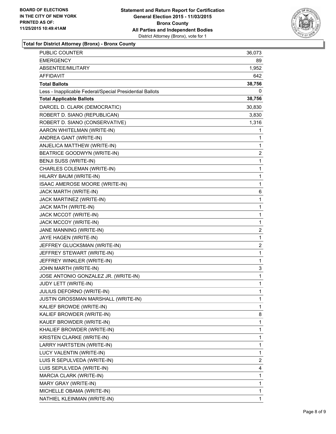

**Total for District Attorney (Bronx) - Bronx County**

| PUBLIC COUNTER                                           | 36,073       |
|----------------------------------------------------------|--------------|
| <b>EMERGENCY</b>                                         | 89           |
| ABSENTEE/MILITARY                                        | 1,952        |
| <b>AFFIDAVIT</b>                                         | 642          |
| <b>Total Ballots</b>                                     | 38,756       |
| Less - Inapplicable Federal/Special Presidential Ballots | 0            |
| <b>Total Applicable Ballots</b>                          | 38,756       |
| DARCEL D. CLARK (DEMOCRATIC)                             | 30,830       |
| ROBERT D. SIANO (REPUBLICAN)                             | 3,830        |
| ROBERT D. SIANO (CONSERVATIVE)                           | 1,316        |
| AARON WHITELMAN (WRITE-IN)                               | 1            |
| ANDREA GANT (WRITE-IN)                                   | 1            |
| ANJELICA MATTHEW (WRITE-IN)                              | 1            |
| BEATRICE GOODWYN (WRITE-IN)                              | 2            |
| BENJI SUSS (WRITE-IN)                                    | 1            |
| CHARLES COLEMAN (WRITE-IN)                               | 1            |
| HILARY BAUM (WRITE-IN)                                   | 1            |
| ISAAC AMEROSE MOORE (WRITE-IN)                           | 1            |
| JACK MARTH (WRITE-IN)                                    | 6            |
| JACK MARTINEZ (WRITE-IN)                                 | 1            |
| JACK MATH (WRITE-IN)                                     | 1            |
| JACK MCCOT (WRITE-IN)                                    | 1            |
| JACK MCCOY (WRITE-IN)                                    | 1            |
| JANE MANNING (WRITE-IN)                                  | 2            |
| JAYE HAGEN (WRITE-IN)                                    | 1            |
| JEFFREY GLUCKSMAN (WRITE-IN)                             | 2            |
| JEFFREY STEWART (WRITE-IN)                               | 1            |
| JEFFREY WINKLER (WRITE-IN)                               | 1            |
| JOHN MARTH (WRITE-IN)                                    | 3            |
| JOSE ANTONIO GONZALEZ JR. (WRITE-IN)                     | 1            |
| JUDY LETT (WRITE-IN)                                     | 1            |
| JULIUS DEFORNO (WRITE-IN)                                | 1            |
| JUSTIN GROSSMAN MARSHALL (WRITE-IN)                      | 1            |
| KALIEF BROWDE (WRITE-IN)                                 | 1            |
| KALIEF BROWDER (WRITE-IN)                                | 8            |
| KAUEF BROWDER (WRITE-IN)                                 | 1            |
| KHALIEF BROWDER (WRITE-IN)                               | 1            |
| KRISTEN CLARKE (WRITE-IN)                                | 1            |
| LARRY HARTSTEIN (WRITE-IN)                               | 1            |
| LUCY VALENTIN (WRITE-IN)                                 | 1            |
| LUIS R SEPULVEDA (WRITE-IN)                              | 2            |
| LUIS SEPULVEDA (WRITE-IN)                                | 4            |
| MARCIA CLARK (WRITE-IN)                                  | 1            |
| MARY GRAY (WRITE-IN)                                     | 1            |
| MICHELLE OBAMA (WRITE-IN)                                | 1            |
| NATHIEL KLEINMAN (WRITE-IN)                              | $\mathbf{1}$ |